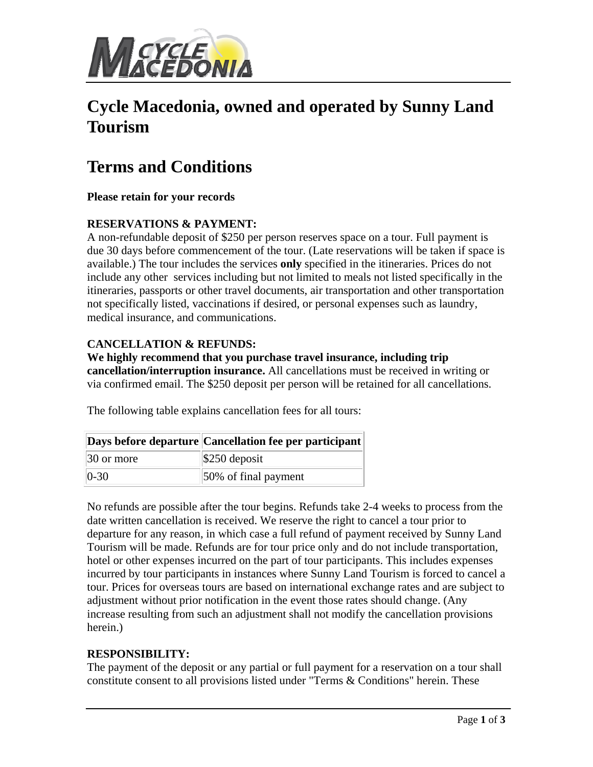

# **Cycle Macedonia, owned and operated by Sunny Land Tourism**

# **Terms and Conditions**

**Please retain for your records** 

### **RESERVATIONS & PAYMENT:**

A non-refundable deposit of \$250 per person reserves space on a tour. Full payment is due 30 days before commencement of the tour. (Late reservations will be taken if space is available.) The tour includes the services **only** specified in the itineraries. Prices do not include any other services including but not limited to meals not listed specifically in the itineraries, passports or other travel documents, air transportation and other transportation not specifically listed, vaccinations if desired, or personal expenses such as laundry, medical insurance, and communications.

### **CANCELLATION & REFUNDS:**

**We highly recommend that you purchase travel insurance, including trip cancellation/interruption insurance.** All cancellations must be received in writing or via confirmed email. The \$250 deposit per person will be retained for all cancellations.

|                        | Days before departure Cancellation fee per participant |
|------------------------|--------------------------------------------------------|
| $ 30 \text{ or more} $ | $\frac{1}{250}$ deposit                                |
| $ 0-30 $               | 50% of final payment                                   |

The following table explains cancellation fees for all tours:

No refunds are possible after the tour begins. Refunds take 2-4 weeks to process from the date written cancellation is received. We reserve the right to cancel a tour prior to departure for any reason, in which case a full refund of payment received by Sunny Land Tourism will be made. Refunds are for tour price only and do not include transportation, hotel or other expenses incurred on the part of tour participants. This includes expenses incurred by tour participants in instances where Sunny Land Tourism is forced to cancel a tour. Prices for overseas tours are based on international exchange rates and are subject to adjustment without prior notification in the event those rates should change. (Any increase resulting from such an adjustment shall not modify the cancellation provisions herein.)

### **RESPONSIBILITY:**

The payment of the deposit or any partial or full payment for a reservation on a tour shall constitute consent to all provisions listed under "Terms & Conditions" herein. These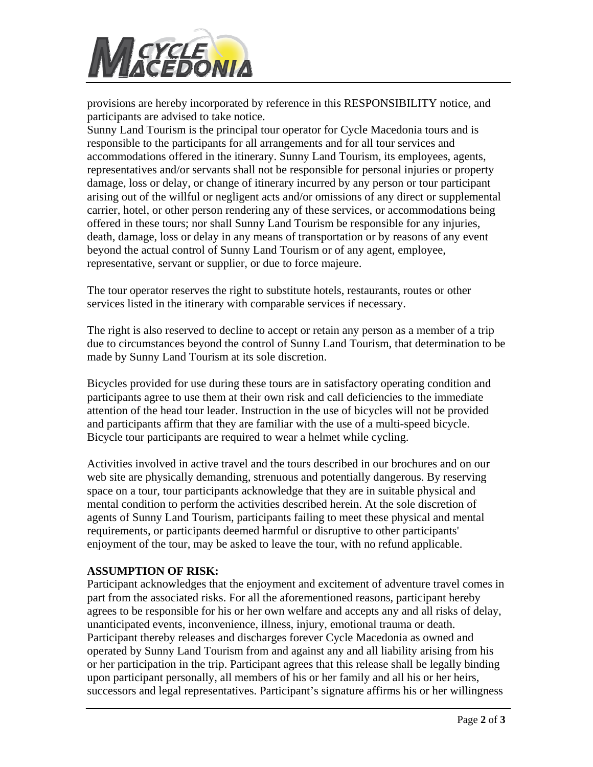

provisions are hereby incorporated by reference in this RESPONSIBILITY notice, and participants are advised to take notice.

Sunny Land Tourism is the principal tour operator for Cycle Macedonia tours and is responsible to the participants for all arrangements and for all tour services and accommodations offered in the itinerary. Sunny Land Tourism, its employees, agents, representatives and/or servants shall not be responsible for personal injuries or property damage, loss or delay, or change of itinerary incurred by any person or tour participant arising out of the willful or negligent acts and/or omissions of any direct or supplemental carrier, hotel, or other person rendering any of these services, or accommodations being offered in these tours; nor shall Sunny Land Tourism be responsible for any injuries, death, damage, loss or delay in any means of transportation or by reasons of any event beyond the actual control of Sunny Land Tourism or of any agent, employee, representative, servant or supplier, or due to force majeure.

The tour operator reserves the right to substitute hotels, restaurants, routes or other services listed in the itinerary with comparable services if necessary.

The right is also reserved to decline to accept or retain any person as a member of a trip due to circumstances beyond the control of Sunny Land Tourism, that determination to be made by Sunny Land Tourism at its sole discretion.

Bicycles provided for use during these tours are in satisfactory operating condition and participants agree to use them at their own risk and call deficiencies to the immediate attention of the head tour leader. Instruction in the use of bicycles will not be provided and participants affirm that they are familiar with the use of a multi-speed bicycle. Bicycle tour participants are required to wear a helmet while cycling.

Activities involved in active travel and the tours described in our brochures and on our web site are physically demanding, strenuous and potentially dangerous. By reserving space on a tour, tour participants acknowledge that they are in suitable physical and mental condition to perform the activities described herein. At the sole discretion of agents of Sunny Land Tourism, participants failing to meet these physical and mental requirements, or participants deemed harmful or disruptive to other participants' enjoyment of the tour, may be asked to leave the tour, with no refund applicable.

#### **ASSUMPTION OF RISK:**

Participant acknowledges that the enjoyment and excitement of adventure travel comes in part from the associated risks. For all the aforementioned reasons, participant hereby agrees to be responsible for his or her own welfare and accepts any and all risks of delay, unanticipated events, inconvenience, illness, injury, emotional trauma or death. Participant thereby releases and discharges forever Cycle Macedonia as owned and operated by Sunny Land Tourism from and against any and all liability arising from his or her participation in the trip. Participant agrees that this release shall be legally binding upon participant personally, all members of his or her family and all his or her heirs, successors and legal representatives. Participant's signature affirms his or her willingness